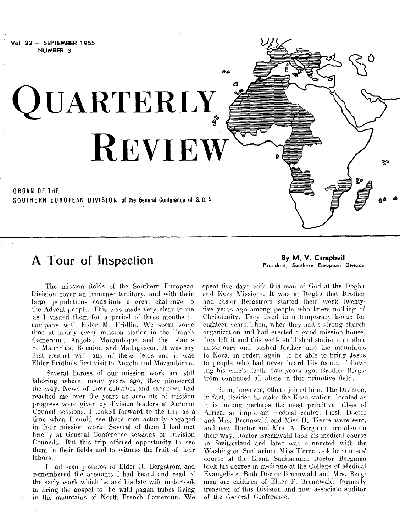

## **A** Tour of Inspection **By M. V. Campbell By M. V. Campbell**

President, Southern European Division

The mission fields of the Southern European Division cover an immense territory, and with their large populations constitute a great challenge to the Advent people. This was made very clear to me as I visited them for a period of three months in company with Elder M. Fridlin. We spent some time at nearly every mission station in the French Cameroun, Angola, Mozambique and the islands of Mauritius, Reunion and Madagascar. It was my first contact with any of these fields and it was Elder Fridlin's first visit to Angola and Mozambique.

Several heroes of our mission work are still laboring where, many years ago, they pioneered the way. News of their activities and sacrifices had reached me over the years as accounts of mission progress were given by division leaders at Autumn Council sessions. I looked forivard to the trip as a time when I could see these men actually engaged in their mission work. Several of them I had met briefly at General Conference sessions or Division Councils. But this trip offered opportunity to see them in their fields and to witness the fruit of their labors.

I had seen pictures of Elder R. Bergström and remembered the accounts I had heard and read of the early work which he and his late wife undertook to bring the gospel to the wild pagan tribes living in the mountains of North French Cameroun. We spent five days with this man of God at the Dogba and Koza Missions. It was at Dogba that Brother and Sister Bergstrom started their work twentyfive years ago among people who knew nothing of Christianity. They lived in a temporary house for eighteen years. Then, when they had a strong church organization and had erected a good mission house, they left it and this well-established station to another missionary and pushed farther into the mountains to Koza, in order, again, to be able to bring Jesus to people who had never heard His name. Following his wife's death, two years ago, Brother Bergstrom continued all alone in this primitive field.

Soon, however, others joined him. The Division, in fact, decided to make the Koza station, located as it is among perhaps the most primitive tribes of Africa, an important medical center. First, Doctor and Mrs. Brennwald and Miss H. Tierce were sent, and now Doctor and Mrs. A. Bergman are also on their way. Doctor Brennwald took his medical course in Switzerland and later was connected with the Washington Sanitarium. Miss Tierce took her nurses' course at the Gland Sanitarium. Doctor Bergman took his degree in medicine at the College of Medical Evangelists. Both Doctor Brennwald and Mrs. Bergman are children of Elder F. Brennwald, formerly treasurer of this Division and now associate auditor of the General Conference. •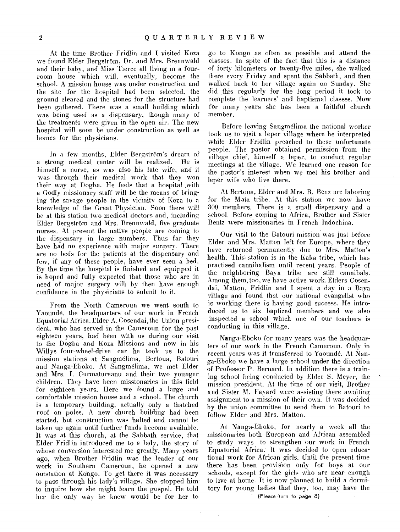At the time Brother Fridlin and I visited Koza we found Elder Bergström, Dr. and Mrs. Brennwald and their baby, and Miss Tierce all living in a fourroom house which will, eventually, become the school. A mission house was under construction and the site for the hospital had been selected, the ground cleared and the stones for the structure had been gathered. There was a small building which was being used as a dispensary, though many of the treatments were given in the open air. The new hospital will soon be under construction as well as homes for the physicians.

In a few months, Elder Bergström's dream of a strong medical center will be realized. He is himself a nurse, as was also his late wife, and it was through their medical work that they won their way at Dogba. He feels that a hospital ,with a Godly missionary staff will be the means of bringing the savage, people in the vicinity of Koza to a knowledge of the Great Physician. Soon there will be at this station two medical doctors and, including Elder Bergstrom and Mrs. Brennwald, five graduate nurses. At present the native people are coming to the dispensary in large numbers. Thus far they have had no experience with major surgery. There are no beds for the patients at the dispensary and few, if any of these people, have ever seen a bed. By the time the hospital is finished and equipped it is hoped and fully expected that those who are in need of major surgery will by then have enough confidence in the physicians to submit to it.

From the North Cameroun we went south to Yaounde, the headquarters of our work in French Equatorial Africa. Elder A. Cosendai,the Union president, who has served in the Cameroun for the past eighteen years, had been with us during our visit to the Dogba and Koza Missions and now in his Willys four-wheel-drive car he took us to the mission stations at Sangmelima, Bertoua, Batouri and Nanga-Eboko. At Sangmelima, we met Elder and Mrs. I. Curmatureanu and their two younger children. They have been missionaries in this field for eighteen years. Here we found a large and comfortable mission house and a school. The church is a temporary building, actually only a thatched roof on poles. A new church building had been started, but construction was halted and cannot be taken up again until further funds become available. It was at this church, at the Sabbath service, that Elder Fridlin introduced me to a lady, the story of whose conversion interested me greatly. Many years ago, when Brother Fridlin was the leader of our work in Southern Cameroun, he opened a new outstation at Kongo. To get there it was necessary to pass through his lady's village. She stopped him to inquire how she might learn the gospel. He told her the only way he knew would be for her to

go to Kongo as often as possible and attend the classes. In spite of the fact that this is a distance of forty kilometers or twenty-five miles, she walked there every Friday and spent the Sabbath, and then walked back to her village again on Sunday. She did this regularly for the long period it took to complete the learners' and baptismal classes. Now for many years she has been a faithful church member.

Before leaving Sangmelima the national worker took us to visit a leper village where he interpreted while Elder Fridlin preached to these unfortunate people. The pastor obtained permission from the village chief, himself a leper, to conduct regular meetings at the village. We learned one reason for the pastor's interest when we met his brother and leper wife who live there.

At Bertoua, Elder and Mrs. R. Benz are laboring for the Mata tribe. At this station we now have 300 members. There is a small dispensary and a school. Before coming to Africa, Brother and Sister Bentz were missionaries in French Indochina.

Our visit to the Batouri mission was just before Elder and Mrs. Matton left for Europe, where they have returned permanently due to Mrs. Matton's health. This station is in the Kaka tribe, which has practised cannibalism until recent years. People of the neighboring Baya tribe are still cannibals. Among them, too, we have active work. Elders Cosendai, Matton, Fridlin and I spent a day in a Baya village and found that our national evangelist who is working there is having good success. He introduced us to six baptized members and we also inspected a school which one of our teachers is conducting in this village.

Nanga-Eboko for many years was the headquarters of our work in the French Cameroun. Only in recent years was it transferred to Yaounde. At Nanga-Eboko we have a large school under the direction of Professor P. Bernard. In addition there is a training school being conducted by Elder S. Meyer, the mission president. At the time of our visit, Brother and Sister M. Fayard were assisting there awaiting assignment to a mission of their own. It was decided by the union committee to send them to Batouri to follow Elder and Mrs. Matton.

At Nanga-Eboko, for nearly a week all the missionaries both European and African assembled to study ways to strengthen our work in French Equatorial Africa. It was decided to open educational work for African girls. Until the present time there has been provision only for boys at our schools, except for the girls who are near enough to live at home. It is now planned to build a dormitory for young ladies that they, too, may have the (Please•turn to page 8)

 $\overline{\phantom{a}}$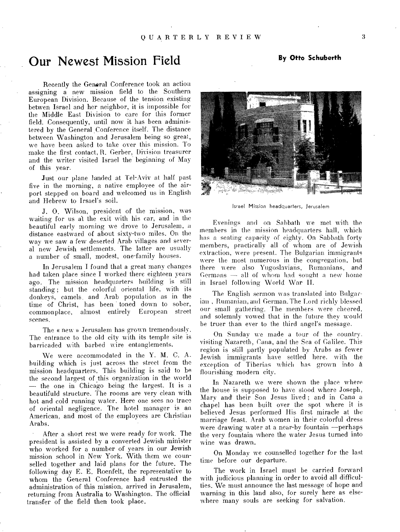### Our Newest Mission Field **By Otto Schuberth**

Recently the General Conference took an action assigning a new mission field to the Southern European Division. Because of the tension existing betwen Israel and her neighbor, it is impossible for the Middle East Division to care for this former field. Consequently, until now it has been administered by the General Conference itself. The distance between Washington and Jerusalem being so great, we have been asked to take over this mission. To make the first contact, R. Gerber, Division treasurer and the writer visited Israel the' beginning of May of this year.

Just our plane landed at Tel-Aviv at half past five in the morning, a native employee of the airport stepped on board and welcomed us in English and Hebrew to Irsael's soil.

J. 0. Wilson, president of the mission, was waiting for us at the exit with his car, and in the beautiful early morning we drove to Jerusalem, a distance eastward of about sixty-two miles. On the way we saw a few deserted Arab villages and several new Jewish settlements. The latter are usually a number of small, modest, one-family houses.

In Jerusalem I found that a great many changes had taken place since I worked there eighteen years ago. The mission headquarters building is still standing ; but the colorful oriental life, with its donkeys, camels. and Arab population as in the time of Christ, has been toned down to sober, commonplace, almost entirely European street scenes.

The « new » Jerusalem has grown tremendously. The entrance to the old city with its temple site is barricaded with barbed wire entanglements.

We were accommodated in the Y. M. C. A. building which is just across the street from the mission headquarters. This building is said to be the second largest of this organization in the world — the one in Chicago being the largest. It is a beautifuld structure. The rooms are very clean with hot and cold running water. Here one sees no trace of oriental negligence. The hotel manager is an American, and most of the employees are Christian Arabs.

After a short rest we were ready for work. The president is assisted by a converted Jewish minister• who worked for a number of years in our Jewish mission school in New York. With them we counselled together and laid plans for the future. The following day E. E. Roenfelt, the representative to whom the General Conference had entrusted the administration of this mission, arrived in Jerusalem, returning from Australia to Washington. The official transfer of the field then took place.



Israel Mission headquarters, Jerusalem

Evenings and on Sabbath we met with the members in the mission headquarters hall, which has a seating capacity of eighty. On Sabbath forty members, practically all of whom are of Jewish extraction, were present. The Bulgarian immigrants were the most numerous in the congregation, but there were also Yugoslavians, Rumanians, and Germans  $-$  all of whom had sought a new home in Israel following World War II.

The English sermon was translated into Bulgarian , Rumanian, and German. The Lord richly blessed our small gathering. The members were cheered, and solemnly vowed that in the future they would be truer than ever to the third angel's message.

On Sunday we made a tour of the country. visiting Nazareth, Cana, and the Sea of Galilee. This region is still partly populated by Arabs as fewer Jewish immigrants have settled here. with the exception of Tiberias which has grown into a flourishing modern city.

In Nazareth we were shown the place where the house is supposed to have stood where Joseph, Mary and their Son Jesus lived ; and in Cana a chapel has been built over the spot where it is believed Jesus performed His first miracle at the marriage feast. Arab women in their colorful dress were drawing water at a near-by fountain ----perhaps the very fountain where the water Jesus turned into wine was drawn.

On Monday we counselled together for the last time before our departure.

The work in Israel must be carried forward with judicious planning in order to avoid all difficulties. We must announce the last message of hope and warning in this land also, for surely here as elsewhere many souls are seeking for salvation.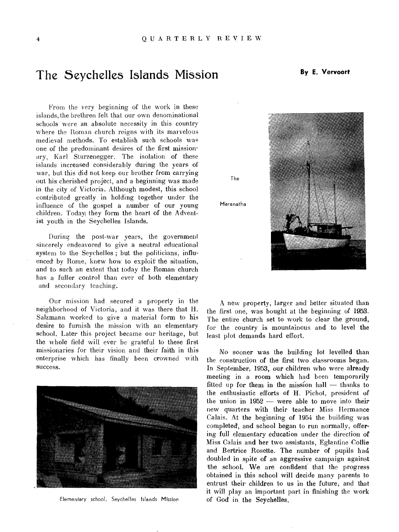The

Maranatha

### The Seychelles Islands Mission **By E. Vervoort**

From the very beginning of the work in these islands, the brethren felt that our own denominational schools were an absolute necessity in this country where the Roman church reigns with its marvelous medieval methods. To establish such schools was one of the predominant desires of the first missionary, Karl Sturzenegger. The isolation of these islands increased considerably during the years of war, but this did not keep our brother from carrying out his cherished project, and a beginning was made in the city of Victoria. Although modest, this school contributed greatly in holding together under the influence of the gospel a number of our young children. Todayi they form the heart of the Adventist youth in the Seychelles Islands.

During the post-war years, the government sincerely endeavored to give a neutral educational system to the Seychelles ; but the politicians, influenced by Rome, knew how to exploit the situation, and to such an extent that today the Roman church has a fuller control than ever of both elementary and secondary teaching.

Our mission had secured a property in the neighborhood of Victoria, and it was there that H. Salzmann worked to give a material form to his desire to furnish the mission with an elementary school. Later this project became our heritage, but the whole field will ever be grateful to these first missionaries for their vision and their faith in this enterprise which has finally been crowned with success.



Elementary school, Seychelles Islands Mission



A new property, larger and better situated than the first one, was bought at the beginning of 1953. The entire church set to work to clear the ground, for the country is mountainous and to level the least plot demands hard effort.

No sooner was the building lot levelled than the construction of the first two classrooms began. In September, 1953, our children who were already meeting in a room which had been temporarily fitted up for them in the mission hall  $-$  thanks to the enthusiastic efforts of H. Pichot, president of the union in 1952 — were able to move into their new quarters with their teacher Miss Hermance Calais. At the beginning of 1954 the building was completed, and school began to run normally, offering full elementary education under the direction of Miss Calais and her two assistants, Eglantine Collie and Bertrice Rosette. The number of pupils had doubled in spite of an aggressive campaign against the school, We are confident that the progress obtained in this school will decide many parents to entrust their children to us in the future, and that it will play an important part in finishing the work of God in the Seychelles.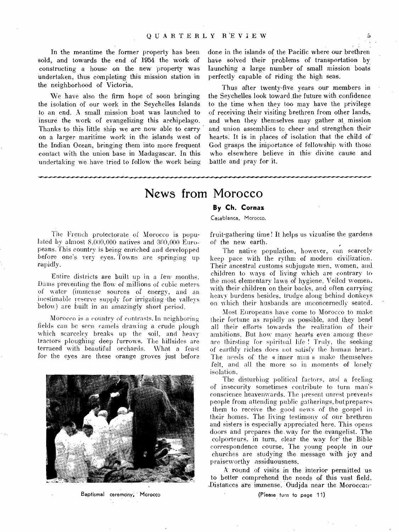In the meantime the former property has been sold, and towards the end of 1954 the work of constructing a house on the new property was undertaken, thus completing this mission station in the neighborhood of Victoria.

We have also the firm hope of soon bringing the isolation of our work in the Seychelles Islands to an end. A small mission boat was launched to insure the work of evangelizing this archipelago. Thanks to this little ship we are now able to carry on a larger maritime work in the islands west of the Indian Ocean, bringing them into more frequent contact with the union base in Madagascar. In this undertaking we have tried to follow the work being

••••••••-•-••••••••••••.•••••••••••",•••••••WVI••••••••••-••••••••••••••••••••Y

done in the islands of the Pacific where our brethren have solved their problems of transportation by launching a large number of small mission boats perfectly capable of riding the high seas.

Thus after twenty-five years our members in the Seychelles look toward the future with confidence to the time when they too may have the privilege of receiving their visiting brethren from other lands, and when they themselves may gather at mission and union assemblies to cheer and strengthen their hearts. It is in places of isolation that the child of God grasps the iniportance of fellowship with those who elsewhere believe in this divine cause and battle and pray for it.

### News from Morocco

### **By Ch. Cornaz**

Casablanca, Morocco.

The French protectorate of Morocco is populated by almost 8,000,000 natives and 300,000 Europeans. This country is being enriched and developped before one's very eyes. Towns are springing up rapidly.

Entire districts are built up in a few months. Dams preventing the flow of millions of cubic meters of water (immense sources of energy, and an inestimable reserve supply for irrigating the valleys below) are built in an amazingly short period.

Morocco is a country of contrasts. In neighboring fields can he seen camels drawing a crude plough which scarceley breaks up the soil, and heavy tractors ploughing deep furrows. The hillsides are terraced with beautiful orchards. What a feast for the eyes are these orange groves just before



Baptismal ceremony, Morocco

fruit-gathering time ! It helps us vizualise the gardens of the new earth.

The native population, however, can scarcely keep pace with the rythm of modern civilization. Their ancestral customs subjugate men, women, and children to ways of living which are contrary to the most elementary laws of hygiene. Veiled women, with their children on their backs, and often carrying heavy burdens besides, trudge along behind donkeys on which their husbands are unconcernedly seated.

Most Europeans have come to Morocco to make their fortune as rapidly as possible, and they bend all their efforts towards the realization of their ambitions. But how many hearts even among these are thirsting for spiritual life ! Truly, the seeking of earthly riches does not satisfy the human heart. The needs of the «inner man » make themselves felt, and all the more so in moments of lonely isolation.

The disturbing political factors, and a feeling of insecurity sometimes contribute to turn man's conscience heavenwards. The present unrest prevents people from attending public gatherings, but prepares them to receive the good news of the gospel in their homes. The living testimony of our brethren and sisters is especially appreciated here. This opens doors and prepares the.way for the evangelist. The colporteurs, in turn, clear the way for' the Bible correspondence course. The young people in our churches are studying the message with joy and praiseworthy assiduousness.

A: round of visits in the interior permitted us to better comprehend the needs of this vast field. Distances are immense. Ondjda near the Moroccan-

(Please turn to page 11)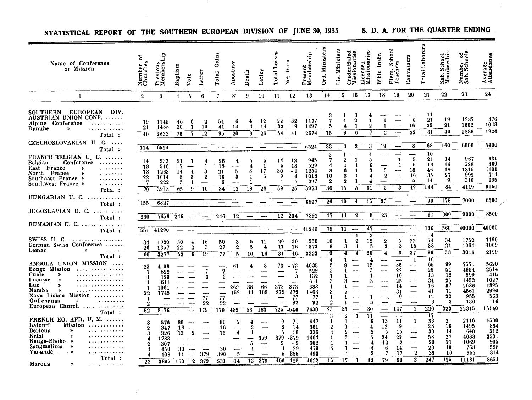| Name of Conference<br>or Mission                                                                                                                                                                                                                                 | ៵<br>Number<br>Churches                             | Previous<br>Membership                                    | Baptism                            | Vote                                                         | Letter                     | Gains<br>Total                               | Apostasy                                         | Death                                                                                | Letter                               | Losses<br>Total                    | Gain<br>Net <sub></sub>                                                    | Present<br>Membership                                        | Ord. Ministers                                                                    | Lic. Ministers                             | Credentialed<br>Missionaries                                             | Licensed<br>Missionaries                                          | lnstr.<br>Bible                                              | School<br>Teachers<br>Elem.                                              | Canvassers                                                                                                                       | Total Laborers                                           | Sab. School<br>Membership                          | Number of<br>Sab. Schools                                          | Ş<br>Average<br>Attendano                                          |
|------------------------------------------------------------------------------------------------------------------------------------------------------------------------------------------------------------------------------------------------------------------|-----------------------------------------------------|-----------------------------------------------------------|------------------------------------|--------------------------------------------------------------|----------------------------|----------------------------------------------|--------------------------------------------------|--------------------------------------------------------------------------------------|--------------------------------------|------------------------------------|----------------------------------------------------------------------------|--------------------------------------------------------------|-----------------------------------------------------------------------------------|--------------------------------------------|--------------------------------------------------------------------------|-------------------------------------------------------------------|--------------------------------------------------------------|--------------------------------------------------------------------------|----------------------------------------------------------------------------------------------------------------------------------|----------------------------------------------------------|----------------------------------------------------|--------------------------------------------------------------------|--------------------------------------------------------------------|
| $\mathbf{1}$                                                                                                                                                                                                                                                     | $\boldsymbol{2}$                                    | 3                                                         | 4                                  | 5                                                            | 6                          | 7                                            | 8 <sup>°</sup>                                   | 9                                                                                    | 10                                   | 11                                 | 12                                                                         | 13                                                           | 14                                                                                | 15                                         | 16                                                                       | 17                                                                | 18                                                           | 19                                                                       | 20                                                                                                                               | 21                                                       | $22\,$                                             | 23                                                                 | 24                                                                 |
| <b>SOUTHERN</b><br><b>EUROPEAN</b><br>DIV.<br>AUSTRIAN UNION CONF.<br>Alpine Conference<br>. <b>.</b><br>Danube<br>$\rightarrow$<br>.<br>Total:                                                                                                                  | 19<br>21<br>40                                      | 1145<br>1488<br>2633                                      | 46<br>30<br>76                     | в<br>1<br>7                                                  | 2<br>10<br>12              | 54<br>41<br>95                               | в<br>14<br>20                                    | 4<br>8                                                                               | 12<br>14<br>26                       | 22<br>32<br>54                     | $32\,$<br>$\overline{9}$<br>41                                             | 1177<br>1497<br>2674                                         | 3<br>7<br>5<br>15                                                                 | 4<br>4<br>9                                | 3<br>$\bf{2}$<br>-1<br>6                                                 | $\boldsymbol{2}$                                                  | $\overline{2}$                                               |                                                                          | 6<br>16<br>22                                                                                                                    | 11<br>21<br>29<br>61                                     | 19<br>21<br>40                                     | 1287<br>1602<br>2889                                               | 876<br>1048<br>1924                                                |
| CZECHOSLOVAKIAN U. C.<br>Total:                                                                                                                                                                                                                                  | 114                                                 | 6524                                                      |                                    |                                                              |                            |                                              |                                                  |                                                                                      |                                      | $\overline{\phantom{iiiiiiiiiii}}$ |                                                                            | 6524                                                         | 33                                                                                | 3                                          | $\bf{2}$                                                                 | 3                                                                 | 19                                                           | $\overline{\phantom{a}}$                                                 | 8                                                                                                                                | 68                                                       | 160                                                | 6000                                                               | 5400                                                               |
| $FRANCO-BELGIAN$ U C.<br>Conference<br>Belgian<br>$\cdots \cdots \cdots$<br>East France<br>$\pmb{\gg}$<br>$\alpha$ , and $\alpha$ , and $\alpha$<br>North France<br>.<br>»<br>Southeast France »<br>.<br>Southwest France »<br>$\cdots \cdots \cdots$            | 14<br>18<br>18<br>22<br>-7<br>79                    | 933<br>516<br>1263<br>1014<br>222<br>3948                 | 21<br>17<br>14<br>8<br>5<br>65     | 4<br>3<br>1<br>9                                             | 4<br>3<br>$\bf{2}$<br>10   | 26<br>18<br>21<br>13<br>6<br>84              | 4<br>5<br>3<br>12                                | 5<br>4<br>8<br>1<br>1<br>19                                                          | Б<br>-1<br>17<br>5<br>28             | 14<br>5<br>30<br>9<br>1<br>59      | 12<br>13<br>- 9<br>4<br>5<br>25                                            | 945<br>529<br>1254<br>1018<br>227<br>3973                    | 5<br>7<br>8<br>10<br>$\bf{2}$<br>36                                               | 1<br>9<br>В<br>3<br>$\boldsymbol{2}$<br>15 | $\mathbf{1}$<br>$\mathbf{1}$<br>1<br>$\mathbf{1}$<br>1<br>$\overline{5}$ | 4<br>5<br>ĥ<br>8<br>4<br>31                                       | $\overline{\mathbf{3}}$<br>$\bf{2}$<br>$\overline{5}$        | 1<br>1<br>$\mathbf{1}$<br>3                                              | 5<br>5<br>18<br>16<br>5<br>49                                                                                                    | 10<br>21<br>18<br>46<br>35<br>14<br>144                  | 14<br>16<br>18<br>27<br>-9<br>84                   | 967<br>528<br>1315<br>999<br>310<br>4119                           | 631<br>369<br>1101<br>714<br>235<br>3050                           |
| Total:<br>HUNGARIAN U.C<br>.                                                                                                                                                                                                                                     |                                                     |                                                           |                                    |                                                              |                            |                                              |                                                  |                                                                                      |                                      |                                    |                                                                            | 6827                                                         | 26                                                                                | 10                                         | 4                                                                        | 15                                                                | 35                                                           |                                                                          | $\sim$                                                                                                                           | 90                                                       | 175                                                | 7000                                                               | 6500                                                               |
| Total:<br>JUGOSLAVIAN U. C.<br>Total:                                                                                                                                                                                                                            | 155<br>230                                          | 6827<br>7658                                              | 246                                |                                                              |                            | 246                                          | 12                                               |                                                                                      |                                      | 12                                 | 234                                                                        | 7892                                                         | 47                                                                                | 11                                         | $\boldsymbol{2}$                                                         | 8                                                                 | $\overline{23}$                                              |                                                                          |                                                                                                                                  | 91                                                       | 300                                                | 9000                                                               | 8500                                                               |
| $RUMANIAN$ U. $C.$<br>Total:                                                                                                                                                                                                                                     | 551                                                 | 41290                                                     |                                    |                                                              |                            |                                              |                                                  |                                                                                      |                                      |                                    |                                                                            | 41290                                                        | 78                                                                                | 11                                         | $\_$                                                                     | 47                                                                |                                                              |                                                                          | $\overline{\phantom{0}}$                                                                                                         | 136                                                      | 560                                                | 40000                                                              | 40000                                                              |
| SWISS U. C. $\dots\dots\dots\dots\dots$<br>German Swiss Conference<br>$\pmb{\gg}$<br>$\alpha$ , $\alpha$ , $\alpha$ , $\alpha$<br>Leman<br>Total:                                                                                                                | 34<br>26<br>60                                      | 1920<br>1357<br>3277                                      | 30<br>$\bf{22}$<br>$\overline{52}$ | 4<br>2<br>$\boldsymbol{6}$                                   | 16<br>3<br>$\overline{19}$ | 50<br>$^{27}$<br>77                          | 3<br>$\overline{2}$<br>5                         | 5<br>5<br>10                                                                         | 12<br>4<br>16                        | $20\,$<br>11<br>31                 | 30<br>16<br>46                                                             | 1950<br>1373<br>3323                                         | 10<br>9<br>$\overline{19}$                                                        | 1<br>3<br>$\overline{\mathbf{4}}$          | $\boldsymbol{2}$<br>$\overline{\mathbf{1}}$<br>4                         | $\overline{\mathbf{3}}$<br>12<br>5<br>20                          | $\bf 2$<br>$\overline{\mathbf{2}}$<br>4                      | 5<br>3<br>8                                                              | $\overline{\phantom{a}}$<br>$\bf{22}$<br>15<br>$3\overline{7}$                                                                   | 4<br>54<br>38<br>96                                      | 34<br>24<br>58                                     | 1752<br>1264<br>3016                                               | 1190<br>1009<br>2199                                               |
| ANGOLA UNION MISSION<br>Bongo Mission<br>.<br>Cuale<br>»<br>. <i>.</i> .<br>Lucusse<br>$\gg$<br>Luz<br>»<br>. <b>. .</b><br>Namba<br>$\boldsymbol{\lambda}$<br>.<br>Nova Lisboa Mission<br>Quilenguas<br>≯<br>. <b>.</b> .<br>European Church $\ldots$<br>Total: | 23<br>-1<br>1<br>-1<br>22<br>$\boldsymbol{2}$<br>52 | 4108<br>522<br>129<br>611<br>1061<br>1745<br>مستد<br>8176 |                                    | -----                                                        | 7<br>З<br>77<br>92<br>179  | ---<br>7<br>3<br><u>.</u><br>77<br>92<br>179 | 61<br>269<br>159<br>489                          | 4<br>38<br>11<br>53                                                                  | 8<br>66<br>109<br>183                | 73<br>---<br>373<br>279<br>725     | - 73<br>7<br>-3<br>373<br>279<br>-77<br>92<br>$-546$                       | 4035<br>529<br>132<br>611<br>688<br>1466<br>77<br>92<br>7630 | 4<br>5<br>3<br>3<br>1<br>3<br>$\mathbf{1}$<br>$\boldsymbol{2}$<br>$\overline{23}$ | g<br>3<br>1<br>25                          | <br>$\overline{\phantom{0}}$<br>——                                       | 4<br>15<br>З<br>3<br>3<br>30                                      | ----<br>-----<br>----<br>--                                  | 36<br>22<br>10<br>25<br>14<br>31<br>9<br>$\overline{\phantom{a}}$<br>147 | 1<br>$\overline{\phantom{a}}$<br>-<br>$\overline{\phantom{0}}$<br>—<br>$\overline{\phantom{0}}$<br>$\overline{\phantom{0}}$<br>1 | 10<br>65<br>29<br>13<br>34<br>16<br>41<br>12<br>6<br>226 | 99<br>54<br>12<br>25<br>37<br>71<br>22<br>3<br>323 | 7571<br>4954<br>599<br>1453<br>2086<br>4561<br>955<br>136<br>22315 | 5620<br>2514<br>415<br>1027<br>1895<br>2990<br>563<br>116<br>15140 |
| FRENCH EQ. $AFR$ . U. M. $\dots\dots$<br><b>Batouri</b><br>Mission<br>.<br>Bertoua<br>≫<br>.<br>Kribi<br>≫<br>. <b>.</b><br>Nanga-Eboko »<br>. <b>.</b> .<br>Sangmelima<br>$\rightarrow$<br>. <b>.</b><br>Yaoundé<br>. 》<br>.<br>Total:<br>Maroua<br>.           | 3<br>3<br>4<br>22                                   | 576<br>347<br>326<br>1783<br>307<br>450<br>108<br>3897    | 80<br>16<br>13<br>30<br>11<br>150  | $\overline{2}$<br>$\overline{\phantom{0}}$<br>$\overline{2}$ | 379<br>379                 | 80<br>16<br>15<br>30<br>390<br>531           | 5<br>$\overline{\phantom{a}}$<br>4<br>5<br>$-14$ | 4<br>$\boldsymbol{2}$<br>1<br>$\overline{\phantom{0}}$<br>5<br>-1<br>$\overline{13}$ | $\frac{1}{2}$<br>379<br>-----<br>379 | 9<br>5<br>379<br>5.<br>406         | 71<br>$\bf{2}$<br>14<br>-10<br>$-379$<br>- 5<br>29<br>1<br>385<br>5<br>125 | 647<br>361<br>336<br>1404<br>302<br>479<br>493<br>4022       | 3<br>1<br>2<br>3<br>1<br>$\mathbf{1}$<br>3<br>1<br>15                             | 2<br>9.<br>5<br>1.<br>1<br>17              | 1<br>--<br>-----<br>$\overline{\phantom{0}}$<br>——<br>4<br>$\mathbf{1}$  | 11<br>6<br>4<br>5<br>6<br>4<br>4<br>$\overline{\mathbf{2}}$<br>42 | Ξ.<br>13<br>12<br>5<br>$\overline{24}$<br>12<br>6<br>7<br>79 | 11<br>9<br>15<br>22<br>$\overline{\mathbf{2}}$<br>14<br>17<br>90         | $\mathbf{1}$<br>----<br>-<br>$\overline{\phantom{0}}$<br>$\overline{2}$<br>3                                                     | 17<br>33<br>28<br>30<br>58<br>20<br>28<br>33<br>247      | 21<br>16<br>14<br>27<br>21<br>10<br>16<br>125      | 2116<br>1495<br>640<br>4088<br>1069<br>768<br>955<br>11131         | 1500<br>864<br>512<br>3531<br>905<br>528<br>814<br>8654            |

 $\sim 0.1$ 

STATISTICAL REPORT OF THE SOUTHERN EUROPEAN DIVISION OF JUNE 30, 1955 S. D. A. FOR THE QUARTER ENDING

 $\sim 10^7$ 

 $\mathcal{L}$ 

and the state

 $\mathbf{v}$ 

 $\sim$   $\sim$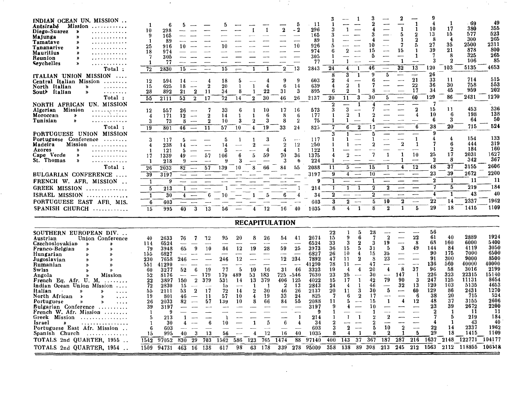| INDIAN OCEAN UN. MISSION<br>Antsirabé<br>Mission<br>.<br>Diego-Suarez<br>€<br>.<br>Majunga<br>.<br>Tamatave<br>. <b>.</b><br>Tananarive<br>»<br>. <i>.</i><br><b>Mauritius</b><br>Ď<br>. <b>.</b><br>Reunion<br>Ď<br>.<br>Seychelles<br>.<br>≫<br>Total:<br>ITALIAN UNION MISSION<br>Central Italian Mission<br>North Italian<br>$\lambda$<br>.<br>South Italian<br>$\mathbf{z}$<br>.<br>Total:<br>NORTH AFRICAN UN. MISSION<br>Algerian<br>Mission<br>$\cdots$ .<br>Moroccan<br>»<br>. <b>.</b> . <i>.</i><br>Tunisian<br>≫<br>.<br>Total:<br>PORTUGUESE UNION MISSION<br>Portuguese Conference<br>.<br>Madeira<br>Mission<br>.<br>Azores<br>≫<br>. <i>. .</i><br>Cape Verde<br>»<br>. <i>.</i> .<br>St. Thomas<br>≫<br>.<br>Total:<br>BULGARIAN CONFERENCE<br>FRENCH W. AFR. MISSION<br><b>GREEK MISSION</b><br>.<br>ISRAEL MISSION<br>. <b>.</b><br>PORTUGUESE EAST AFR MIS.<br>SPANISH CHURCH | 10<br>9<br>-1<br>25<br>18<br>7<br>1<br>72<br>12<br>15<br>28<br>$\overline{55}$<br>12<br>4<br>3<br>19<br>3<br>4<br>-1<br>17<br>1<br>26<br>39<br>1<br>$\overline{5}$<br>$\mathbf{1}$<br>6<br>15 | fi<br>298<br>165<br>-89<br>916<br>10<br>974<br>305<br>77<br>15<br>2830<br>594<br>14<br>625<br>18<br>892<br>$\bf{21}$<br>2111<br>53<br>26<br>557<br>171<br>12<br>73<br>46<br>801<br>117<br>238<br>14<br>121<br>1339<br>49<br>218<br>2033<br>$8\overline{2}$<br>3197<br>$\overline{\phantom{a}}$<br>9<br>$\overline{\phantom{0}}$<br>213<br>30<br>603<br>40<br>995 | ħ<br>$\overline{\phantom{a}}$<br>4<br>$\boldsymbol{2}$<br>$\overline{\phantom{a}}$<br>$\overline{\mathbf{2}}$<br>-11<br>$\overline{\mathbf{2}}$<br>17<br>7<br>$\sim$<br>$\boldsymbol{2}$<br>$\overline{\phantom{a}}$<br>$\overline{2}$<br>8<br>$\overline{\phantom{a}}$<br>11<br>$\overline{\phantom{a}}$<br>5<br>5.<br>57<br>$\overline{\phantom{0}}$<br>9<br>$\overline{\phantom{a}}$<br>57<br>1<br>4<br>6<br>3<br>13 | 10<br>15<br>18<br>20<br>34<br>$72\,$<br>33<br>14<br>10<br>57<br>5<br>14<br>5<br>106<br>139<br>10<br>56                    | $\overline{a}$<br>5<br>1<br>8<br>14<br>-6<br>1<br>3<br>10<br>1<br>6<br>3<br>10                                    | 1<br>$\mathbf{1}$<br>$\mathbf{1}$<br>4<br>1<br>4<br>22<br>1<br>$\bf{2}$<br>30<br>10<br>1<br>$\mathbf{1}$<br>6<br>3<br>2<br>19<br>4<br>3<br>$\overline{4}$<br>59<br>5<br>66<br>8<br>5<br>12 | $\bf{2}$<br><u>—</u><br>$\sim$<br>للمنب<br>——<br>$\overline{2}$<br>9<br>6<br>31<br>46<br>17<br>8<br>8<br>33<br>5<br>$\overline{2}$<br>4<br>70<br>3<br>84<br>6<br>16    | 5<br>- 2<br>—<br>$\overline{\phantom{0}}$<br>10<br>$\overline{\phantom{0}}$<br>13<br>9<br>14<br>3<br>26<br>16<br>В<br>$\overline{2}$<br>24<br>$\sim$ $\sim$<br>12<br>$\mathbf{1}$<br>36<br>fi<br>55<br>40 | -11<br>296<br>165<br>-89<br>926<br>974<br>305<br>77<br>2843<br>603<br>639<br>895<br>2137<br>573<br>177<br>75<br>825<br>117<br>250<br>122<br>1375<br>224<br>2088<br>3197<br>g<br>214<br>34<br>603<br>1035 | -1<br>24<br>8<br>2<br>4<br>6<br>20<br>2<br>3<br>-1<br>$\mathbf{1}$<br>7<br>-1<br>11<br>9<br>$\boldsymbol{2}$<br>3<br>8                           | $\mathbf{1}$<br>$\overline{2}$<br>$\mathbf{1}$<br>$\overline{\phantom{a}}$<br>$\overline{\bf 4}$<br>3<br>1<br>4<br>$\overline{2}$<br>$\mathbf{1}$<br>2<br>-1<br>11<br>3<br>1<br>$\overline{\mathbf{3}}$<br>--<br>$\bf{2}$<br>1<br>1<br>6<br>$\boldsymbol{2}$<br>1<br>$\overline{2}$<br>مست<br>5<br>$\overline{\phantom{0}}$<br>$\boldsymbol{4}$<br>—— <b>—</b><br>$\overline{\phantom{0}}$<br>$\overline{\phantom{0}}$<br>$\mathbf{1}$<br>-1<br>----<br>$\bf{2}$<br>$\overline{\phantom{a}}$<br>4 | З<br>2<br>10<br>15<br>5<br>---<br>46<br>9<br>6<br>7<br>8<br>30<br>7<br>4<br>17<br>5<br>-1<br>2<br>7<br>15<br>10<br>1<br>2<br>2<br>5<br>$\mathbf{1}$<br>8                                                     | $\sim$<br>$\overline{\phantom{a}}$<br>$\overline{\phantom{a}}$<br>5<br>--<br>——<br>5<br>$\mathbf{1}$<br>$\mathbf{1}$<br>$\overline{\phantom{a}}$<br>$\bf{2}$<br>-----<br>10<br>$\bf{2}$  | 1<br>5<br>-1<br>7<br>15<br>$\mathbf{1}$<br>32<br>——<br>للمند<br>——<br>$\overline{2}$<br>$\mathbf{1}$<br>4<br>$\overline{\phantom{a}}$<br><b>.</b><br>$\bf{2}$<br>1                   | -1<br>1<br>2<br>$\overline{2}$<br>5<br>1<br>1<br>$\overline{\phantom{a}}$<br>13<br>--<br>21<br>22<br>17<br>60<br>$\overline{2}$<br>4<br>6<br>$\mathbf{1}$<br>1<br>10<br>---<br>12<br>—<br>$\overline{5}$ | 10<br>13<br>-8<br>27<br>39<br>7<br>120<br>26<br>33<br>36<br>34<br>129<br>15<br>10<br>6<br>38<br>$\boldsymbol{9}$<br>4<br>7<br>-1<br>25<br>$\bf{2}$<br>48<br>23<br>$\bf{2}$<br>4<br>22<br>29 | -1<br>17<br>15<br>4<br>35<br>21<br>8<br>$\bf{2}$<br>103<br>11<br>30<br>45<br>86<br>11<br>-6<br>3<br>20<br>4<br>6<br>$\boldsymbol{2}$<br>17<br>8<br>$\overline{3}\overline{7}$<br>39<br>1<br>5<br>$\mathbf{1}$<br>14<br>18 | -69<br>380<br>577<br>300<br>2500<br>878<br>325<br>106<br>5135<br>714<br>758<br>959<br>2431<br>453<br>198<br>64<br>715<br>154<br>444<br>184<br>2031<br>342<br>3155<br>2672<br>11<br>219<br>43<br>2337<br>1415 | 49<br>355<br>523<br>265<br>2311<br>800<br>265<br>85<br>4653<br>515<br>553<br>202<br>1270<br>336<br>138<br>50<br>524<br>133<br>319<br>160<br>1627<br>367<br>2606<br>2200<br>11<br>184<br>40<br>1962<br>1109 |
|---------------------------------------------------------------------------------------------------------------------------------------------------------------------------------------------------------------------------------------------------------------------------------------------------------------------------------------------------------------------------------------------------------------------------------------------------------------------------------------------------------------------------------------------------------------------------------------------------------------------------------------------------------------------------------------------------------------------------------------------------------------------------------------------------------------------------------------------------------------------------------------------------|-----------------------------------------------------------------------------------------------------------------------------------------------------------------------------------------------|------------------------------------------------------------------------------------------------------------------------------------------------------------------------------------------------------------------------------------------------------------------------------------------------------------------------------------------------------------------|-------------------------------------------------------------------------------------------------------------------------------------------------------------------------------------------------------------------------------------------------------------------------------------------------------------------------------------------------------------------------------------------------------------------------|---------------------------------------------------------------------------------------------------------------------------|-------------------------------------------------------------------------------------------------------------------|--------------------------------------------------------------------------------------------------------------------------------------------------------------------------------------------|------------------------------------------------------------------------------------------------------------------------------------------------------------------------|-----------------------------------------------------------------------------------------------------------------------------------------------------------------------------------------------------------|----------------------------------------------------------------------------------------------------------------------------------------------------------------------------------------------------------|--------------------------------------------------------------------------------------------------------------------------------------------------|---------------------------------------------------------------------------------------------------------------------------------------------------------------------------------------------------------------------------------------------------------------------------------------------------------------------------------------------------------------------------------------------------------------------------------------------------------------------------------------------------|--------------------------------------------------------------------------------------------------------------------------------------------------------------------------------------------------------------|------------------------------------------------------------------------------------------------------------------------------------------------------------------------------------------|--------------------------------------------------------------------------------------------------------------------------------------------------------------------------------------|----------------------------------------------------------------------------------------------------------------------------------------------------------------------------------------------------------|---------------------------------------------------------------------------------------------------------------------------------------------------------------------------------------------|---------------------------------------------------------------------------------------------------------------------------------------------------------------------------------------------------------------------------|--------------------------------------------------------------------------------------------------------------------------------------------------------------------------------------------------------------|------------------------------------------------------------------------------------------------------------------------------------------------------------------------------------------------------------|
|                                                                                                                                                                                                                                                                                                                                                                                                                                                                                                                                                                                                                                                                                                                                                                                                                                                                                                   |                                                                                                                                                                                               |                                                                                                                                                                                                                                                                                                                                                                  |                                                                                                                                                                                                                                                                                                                                                                                                                         |                                                                                                                           |                                                                                                                   | <b>RECAPITULATION</b>                                                                                                                                                                      |                                                                                                                                                                        |                                                                                                                                                                                                           |                                                                                                                                                                                                          |                                                                                                                                                  |                                                                                                                                                                                                                                                                                                                                                                                                                                                                                                   |                                                                                                                                                                                                              |                                                                                                                                                                                          |                                                                                                                                                                                      |                                                                                                                                                                                                          |                                                                                                                                                                                             |                                                                                                                                                                                                                           |                                                                                                                                                                                                              |                                                                                                                                                                                                            |
| SOUTHERN EUROPEAN DIV<br>Austrian<br>Union Conference<br>Czechoslovakian<br>»<br>Y)<br>Franco-Belgian<br>≫<br>≫<br>Hungarian<br>X)<br>Jugoslavian<br>⋟<br>Rumanian<br>$\mathbf{v}$<br>»<br><b>Swiss</b><br>$\mathbf{v}$<br>Angola<br><b>Mission</b><br>»<br>French Eq. Afr. U. M.<br>in a straight and<br>Indian Ocean Union Mission<br>$\sim$ $\sim$ $\sim$<br>Italian<br>$\rightarrow$<br>»<br>$\sim$ $\sim$ $\sim$<br>North African<br>$\pmb{\gg}$<br>.<br>≫<br>Portuguese<br>$\boldsymbol{v}$<br>$\cdots$<br>Bulgarian Conference<br>French W. Afr. Mission<br>Greek Mission<br>. <i>.</i> .<br>Israel<br>.<br>Portuguese East Afr. Mission<br>Spanish Church<br>.<br>TOTALS 2nd QUARTER, 1955<br>TOTALS 2nd QUARTER, 1954                                                                                                                                                                    | 40<br>114<br>79<br>155<br>230<br>551<br>60<br>52<br>$22\,$<br>72<br>55<br>19<br>26<br>39<br>1<br>5<br>1<br>6<br>15<br>1542<br>1509                                                            | 2633<br>6524<br>-<br>65<br>3948<br>6827<br>7658<br>246<br>41290<br>3277<br>52<br>8176<br>$\overline{\phantom{a}}$<br>150<br>3897<br>2830<br>2111<br>53<br>801<br>46<br>2033<br>3197<br>-9<br>213<br>30<br>603<br>995<br>830<br>97052<br>94731<br>463                                                                                                             | 76<br>12<br>7<br>$\overline{\phantom{0}}$<br>9<br>10<br>$\bf{6}$<br>19<br>179<br>$\overline{\phantom{0}}$<br>$\sqrt{2}$<br>379<br>15<br>$\overline{\phantom{0}}$<br>$\overline{\phantom{a}}$<br>$\boldsymbol{2}$<br>17<br>11<br>82<br>57<br>$\overline{\phantom{a}}$<br>6<br>4<br>$\overline{\phantom{a}}$<br>$\mathbf{3}$<br>40<br>13<br>29<br>703<br>16 138                                                           | 95<br>$\overline{a}$<br>84<br>246<br>77<br>179<br>531<br>łэ<br>72<br>57<br>139<br>$\mathbf{a}$<br>10<br>56<br>1562<br>617 | 20<br>12<br>12<br>$5\phantom{.0}$<br>489<br>-14<br>$\overline{\phantom{a}}$<br>14<br>10<br>10<br>---<br>586<br>98 | 8<br>26<br>$\sim$<br>19<br>28<br>—-<br>10<br>16<br>183<br>53.<br>379<br>13<br>- 1<br>30<br>2<br>19<br>4<br>66<br>8<br>5<br>1<br>12<br>4<br>765<br>123<br>63<br>178                         | 54<br>----<br>59<br>12<br>$\overline{\phantom{a}}$<br>31<br>725 -546<br>406<br>2<br>46<br>33<br>84<br>---<br>---<br>6<br>$\overline{\phantom{0}}$<br>16<br>1474<br>339 | 41<br>$\overline{\phantom{a}}$<br>25<br>234<br>$\overline{\phantom{a}}$<br>46<br>125<br>-13<br>26<br>24<br>55<br>-1<br>4<br>40<br>88<br>278                                                               | 2671<br>6524<br>3973<br>6827<br>7892<br>41290<br>3323<br>7630<br>4022<br>2843<br>2137<br>825<br>2088<br>3197<br>9<br>214<br>34<br>603<br>1035<br>97140<br>95009                                          | ${\bf 22}$<br>15<br>33<br>36<br>26<br>47<br>78<br>19<br>23<br>15<br>24<br>20<br>7<br>11<br>9<br>1<br>1<br>$\overline{2}$<br>3<br>8<br>400<br>358 | 1<br>9<br>3<br>15<br>10<br>11<br>11<br>$\boldsymbol{4}$<br>25<br>$\mathbf{1}$<br>17<br>4<br>11<br>6.<br>5.<br>$\overline{\phantom{0}}$<br>4<br>$\mathbf{1}$<br>$\mathbf{1}$<br>$\bf{2}$<br>4<br>143<br>37<br>138<br>-89                                                                                                                                                                                                                                                                           | 28<br>5<br>6<br>7<br>2<br>Я<br>31<br>5<br>15<br>4<br>$\overline{\mathbf{2}}$<br>8<br>47<br>4<br>20<br>30<br>42<br>46<br>-1<br>30<br>3<br>$\overline{2}$<br>17<br>15<br>10<br>-1<br>9<br>5<br>1<br>367<br>308 | $\overline{2}$<br>19<br>5<br>35<br>23<br>4<br>$\overline{\phantom{a}}$<br>79<br>5<br>$\overline{\phantom{0}}$<br>$\mathbf{1}$<br>$\overline{2}$<br>10<br>$\overline{2}$<br>187<br>$-213$ | --<br>-<br>3<br>$\overline{\phantom{0}}$<br>للمستد<br>8<br>147<br>90<br>32<br>—<br>$\overline{\phantom{a}}$<br>$\overline{\mathbf{4}}$<br>—<br>$\overline{\mathbf{2}}$<br>287<br>245 | 22<br>8<br>49<br>$\sim$<br>37<br>-1<br>3<br>13<br>60<br>-6<br>12<br>——<br>$\overline{\phantom{a}}$<br>5<br>216<br>212                                                                                    | 56<br>61<br>68<br>144<br>90<br>91<br>136<br>96<br>226<br>247<br>120<br>129<br>38<br>48<br>23<br>$\overline{2}$<br>4<br>22<br>$2\bar{9}$<br>1637<br>1563                                     | 40<br>160<br>84<br>175<br>300<br>560<br>-58<br>323<br>125<br>103<br>86<br>-20<br>37<br>39<br>$\mathbf{1}$<br>5<br>$\mathbf{1}$<br>14<br>18<br>2148                                                                        | 2889<br>6000<br>4119<br>7000<br>9000<br>40000<br>3016<br>22315<br>11131<br>5135<br>2431<br>715<br>3155<br>2672<br>-11<br>219<br>43<br>2337<br>1415<br>122771<br>2112 118855                                  | 1924<br>5400<br>3050<br>6500<br>8500<br>40000<br>2199<br>15140<br>8654<br>4653<br>1270<br>524<br>2606<br>2200<br>-11<br>184<br>40<br>1962<br>1109<br>104177<br>106118                                      |

 $\label{eq:2.1} \frac{1}{2}\sum_{i=1}^n\frac{1}{2}\sum_{j=1}^n\frac{1}{2}\sum_{j=1}^n\frac{1}{2}\sum_{j=1}^n\frac{1}{2}\sum_{j=1}^n\frac{1}{2}\sum_{j=1}^n\frac{1}{2}\sum_{j=1}^n\frac{1}{2}\sum_{j=1}^n\frac{1}{2}\sum_{j=1}^n\frac{1}{2}\sum_{j=1}^n\frac{1}{2}\sum_{j=1}^n\frac{1}{2}\sum_{j=1}^n\frac{1}{2}\sum_{j=1}^n\frac{1}{2}\sum_{j=1}^n\$ 

 $\mathcal{L}^{\text{max}}_{\text{max}}$  and  $\mathcal{L}^{\text{max}}_{\text{max}}$ 

is a set of the set of the set of the set of the set of the set of the set of the set of the set of the set of the set of the set of the set of the set of the set of the set of the set of the set of the set of the set of

e i

 $\label{eq:2.1} \mathcal{L}(\mathcal{L}^{\mathcal{L}}_{\mathcal{L}}(\mathcal{L}^{\mathcal{L}}_{\mathcal{L}})) = \mathcal{L}(\mathcal{L}^{\mathcal{L}}_{\mathcal{L}}(\mathcal{L}^{\mathcal{L}}_{\mathcal{L}})) = \mathcal{L}(\mathcal{L}^{\mathcal{L}}_{\mathcal{L}}(\mathcal{L}^{\mathcal{L}}_{\mathcal{L}}))$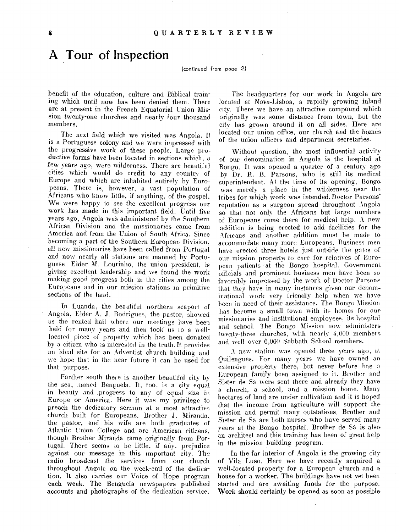### A Tour of Inspection

(continued from page 2)

benefit of the education, culture and Biblical training which until now has been denied them. There are at present in the French Equatorial Union Mission twenty-one churches and nearly four thousand members.

The next field which we visited was Angola. It is a Portuguese colony and we were impressed with the progressive work of these people. Large productive farms have been located in sections which, a few years ago, were wilderness. There are beautiful cities which would do credit to any country of Europe and which are inhabited entirely by Europeans. There is, however, a vast population of Africans who know little, if anything, of the gospel. We were happy to see the excellent progress our work has made in this important field. Until five years ago, Angola was administered by the Southern African Division and the missionaries came from America and from the Union of South Africa. Since becoming a part of the Southern European Division, all new missionaries have been called from Portugal and now nearly all stations are manned by Portuguese. Elder M. Lourinho, the union president, is giving excellent leadership and we found the work making good progress both in the cities among the Europeans and in our mission stations in primitive sections of the land.

In Luanda, the beautiful northern seaport of Angola, Elder A. J. Rodrigues, the pastor, showed us the rented hall where our meetings have been held for many years and then took us to a welllocated piece of property which has been donated by a citizen who is interested in the truth.It provides an ideal site for an Adventist church building and we hope that in the near future it can be used for that purpose.

Farther south there is another beautiful city by the sea, named Benguela. It, too, is a city equal in beauty and .progress to any of equal size in Europe or America. Here it was my privilege to preach the dedicatory sermon at a most attractive church built for Europeans. Brother J. Miranda, the pastor, and his wife are both graduates of Atlantic Union College and are American citizens, though Brother Miranda came originally from Portugal. There seems to be little, if any, prejudice against our message in this important city. The radio broadcast the services from our church throughout Angola on the week-end of the dedication. It also carries our Voice of Hope program each week. The Benguela newspapers published accounts and photographs of the dedication service.

The headquarters for our work in Angola are located at Nova-Lisboa, a rapidly growing inland city. There we have an attractive compound which originally was some distance from town, but the city has grown around it on all sides. Here are located our union office, our church and the homes of the union officers and department secretaries.

Without question, the most influential activity of our denomination in Angola is the hospital at Bongo. It was opened a quarter of a century ago by Dr. H. B. Parsons, who is still its medical superintendent. At the time of its opening, Bongo was merely a place in the wilderness near the tribes for which work was intended. Doctor Parsons' reputation as a surgeon spread throughout Angola so that not only the Africans but large numbers of Europeans come there for medical help. A new addition is being erected to add facilities for the Africans and another addition must he made to accommodate many more Europeans. Business men have erected three hotels just outside the gates of our mission property to care for relatives of European patients at the Bongo hospital. Government officials and prominent business men have been so favorably impressed by the work of Doctor Parsons that they have in many instances given our denominational work very friendly help when we have been in need of their assistance. The Bongo Mission has become a small town with its homes for our missionaries and institutional employees, its hospital and school. The Bongo Mission now administers twenty-three churches, with nearly 4,000 members and well over 6,000 Sabbath School members.

A new station was opened three years ago, at Quilengues. For many years we have owned an extensive property there, but never before has a European family been assigned to it. Brother and Sister de Sà were sent there and already they have a church, a school, and a mission home. Many hectares of land are under cultivation and it is hoped that the income from agriculture will support the mission and permit many outstations. Brother and Sister de Sa are both nurses who have served many years at the Bongo hospital. Brother de Sa is also an architect and this training has been of great help in the mission building program.

In' the far interior of Angola is the growing city of Vila Luso. Here we have recently acquired a. well-located property for a European church and a house for a worker. The buildings have not vet been\_ started and are awaiting funds for the purpose. Work should certainly be opened as soon as possible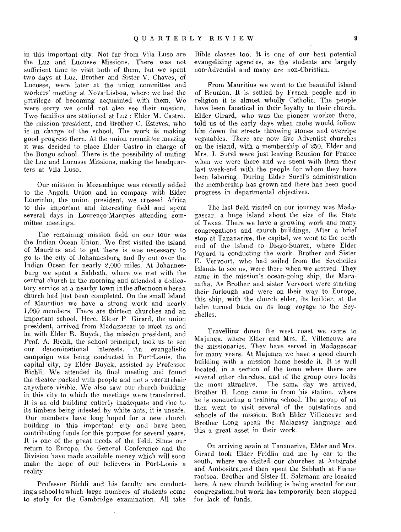in this important city. Not far from Vila Luso are the Luz and Lucusse Missions. There was not sufficient time to visit both of them, but we spent two days at Luz. Brother and Sister V. Chaves, of Lucusse, were later at the union committee and workers' meeting at Nova-Lisboa, where we had the privilege of becoming acquainted with them. We were sorry we could not also see their mission. Two families are stationed at Luz : Elder M. Castro, the mission president, and Brother C. Esteves, who is in charge of the school. The work is making good progress there. At the union committee meeting it was decided to place Elder Castro in charge of the Bongo school. There is the possibility of uniting the Luz and Lucusse Missions, making the headquarters at Vila Luso.

Our mission in Mozambique was recently added to the Angola Union and in company with Elder Lourinho, the union president, we crossed Africa to this important and interesting field and spent several days in Lourenco-Marques attending committee meetings.

The remaining mission field on our tour was the Indian Ocean Union. We first visited the island of Mauritus and to get there is was necessary to go to the city of Johannesburg and fly out over the Indian Ocean for nearly 2,000 miles. At Johannesburg we spent a Sabbath, where we met with the central church in the morning and attended a dedicatory service at a nearby town in the afternoon where a church had just been completed. On the small island of Mauritius we have a strong work and nearly 1,000 members. There are thirteen churches and an important school. Here, Elder P. Girard, the union president, arrived from Madagascar to meet us and he with Elder R. Buyck, the mission president, and Prof. A. Richli, the school principal, took us to see our denominational interests. An evangelistic campaign was being conducted in Port-Louis, the capital city, by Elder Buyck, assisted by Professor Richli. We attended its final meeting and found the theater packed with people and not a vacant chair anywhere visible. We also saw our church building in this city to which the meetings were transferred. It is an old building entirely inadequate and due to its timbers being infested by white ants, it is unsafe. Our members have long hoped for a new church building in this important city and have been contributing funds for this purpose for several years. It is one of the great needs of the field. Since our return to Europe, the General Conference and the Division have made available money which will soon make the hope of our believers in Port-Louis a reality.

Professor Richli and his faculty are conducting a school to which large numbers of students come to study for the Cambridge examination. All take Bible classes too. It is one of our best potential evangelizing agencies, as the students are largely non-Adventist and many are non-Christian.

From Mauritius we went to the beautiful island of Reunion. It is settled by French people and in religion it is almost wholly Catholic. The people have been fanatical in their loyalty to their church. Elder Girard, who was the pioneer worker there, told us of the early days when mobs would follow him down the streets throwing stones and overripe vegetables. There are now five \_Adventist churches on the island, with a membership of 250. Elder and Mrs. J. Surel were just leaving Reunion for France when we were there and we spent with them their last week-end with the people for whom they have been laboring. During Elder Surel's administration the membership has grown and there has been good progress in departmental objectives.

The last field visited on our journey was Madagascar, a huge island about the size of the State of Texas. There we have a growing work and many congregations and church buildings. After a brief stop at Tananarive, the capital, we went to the north end of the island to Diego-Suarez, where Elder Fayard is conducting the work. Brother and Sister E. Vervoort, who had sailed from the Seychelles Islands to see us, were there when we arrived. They came in the mission's ocean-going ship, the Maranatha. As Brother and sister Vervoort were starting their furlough and were on their way to Europe, this ship, with the church elder, its builder, at the helm turned back on its long voyage to the Seychelles.

Travelling down the west coast we came to Majunga, where Elder and Mrs. E. Villeneuve are the missionaries. They have served in Madagascar for many years. At Majunga we have a good church building with a mission home beside it. It is well located, in a section of the town where there are several other churches, and of the group ours looks the most attractive. The same day we arrived, Brother H. Long came in from his station, where he is conducting a training school. The group of us then went to visit several of the outstations and schools of the mission. Both Elder Villeneuve and Brother Long speak the Malagasy language and this a great asset in their work.

On arriving again at Tananarive, Elder and Mrs. Girard took Elder Fridlin and me by car to the south, where we visited our churches at Antsirabe and Ambositra,and then spent the Sabbath at Fianarantsoa. Brother and Sister H. Salzmann are located here. A new church building is being erected for our congregation, but work has temporarily been stopped for lack of funds.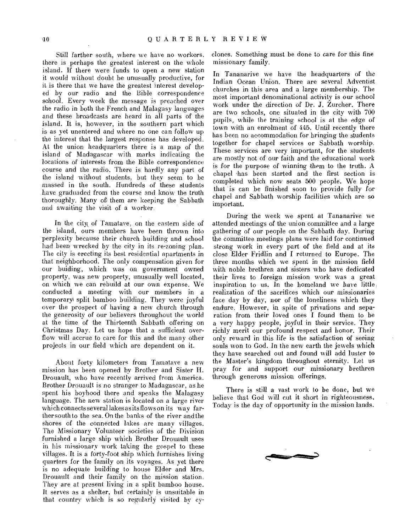Still farther south, where we have no workers, there is perhaps the greatest interest on the whole island. If there were funds to open a new station it would without doubt be unusually productive, for it is there that we have the greatest interest developed by our radio and the Bible correspondence school. Every week the message is preached over the radio in both the French and Malagasy languages and these broadcasts are heard in all parts of the island. It is, however, in the southern part which is as yet unentered and where no one can follow up the interest that the largest response has developed. At the union headquarters there is a map of the island of Madagascar with marks indicating the locations of interests from the Bible correspondence course and the radio. There is hardly any part of the island without students, but they seem to be massed in the south. Hundreds of these students have graduaded from the course and know the truth thoroughly. Many of) them are keeping the Sabbath and awaiting the visit of a worker.

In the city of Tamatave, on the eastern side of the island, ours members have been thrown into perplexity because their church building and school had been wrecked by the city in its re-zoning plan. The city is erecting its best residential apartments in that neighborhood. The only compensation given for our buiding, which was on government owned property, was new property, unusually well located, on which we can rebuild at our own expense. We conducted a meeting with our members in a temporary split bamboo building. They were joyful over the prospect of having a new church through the generosity of our believers throughout the world at the time of the Thirteenth Sabbath offering on Christmas Day. Let us hope that a sufficient overflow will accrue to care for this and the many other projects in our field which are dependent on it.

About forty kilometers from Tamatave a new mission has been opened by Brother and Sister H. Drouault, who have recently arrived from America. Brother Drouault is no stranger to Madagascar, as he spent his boyhood there and speaks the Malagasy language. The new station is located on a large river which connects several lakes as its flows on its way farther south to the sea. On the banks of the river and the shores of the connected lakes are many villages. The Missionary Volunteer societies of the Division furnished a large ship which Brother Drouault uses in his missionary work taking the gospel to these villages. It is a forty-foot ship which furnishes living quarters for the family on its voyages. As yet there is no adequate building to house Elder and Mrs. Drouault and their family on the mission station. They are at present living in a split bamboo house. It serves as a shelter, but certainly is unsuitable in that country which is so regularly visited by cyclones. Something must be done to care for this fine missionary family.

In Tananarive we have the headquarters of the Indian Ocean Union. There are several Adventist churches in this area and a large membership. The most important denominational activity is our school work under the direction of Dr. J. Zurcher. There are two schools, one situated in the city with 700 pupils, while the training school is at the edge of town with an enrolment of 445. Until recently there has been no accommodation for bringing the students together for chapel services or Sabbath worship. These services are very important, for the students are mostly not of our faith and the educational work is for the purpose of winning them to the truth. A chapel has been started and the first section is completed which now seats 500 people. We hope that is can be finished soon to provide fully for chapel and Sabbath worship facilities which are so important.

During the week we spent at Tananarive we attended meetings of the union committee and a large gathering of our people on the Sabbath day. During the committee meetings plans were laid for continued strong work in every part of the field and at its close Elder Fridlin and I returned to Europe. The three months which we spent in the mission field with noble brethren and sisters who have dedicated their lives to foreign mission work was a great inspiration to us. In the homeland we have little realization of the sacrifices which our missionaries face day by day, nor of the loneliness which they endure. However, in spite of privations and separation from their loved ones I found them to be a very happy people, joyful in their service. They richly merit our profound respect and honor. Their only reward in this life is the satisfaction of seeing souls won to God. In the new earth the jewels which they have searched out and found will add luster to the Master's kingdom throughout eternity. Let us pray for and support our missionary brethren through generous mission offerings.

There is still a vast work to be done, but we believe that God will cut it short in righteousness. Today is the day of opportunity in the mission lands.

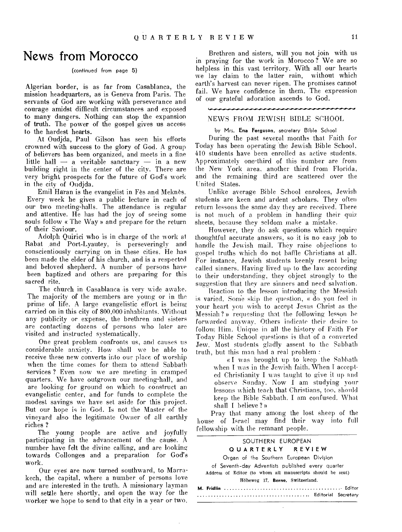### News from Morocco

#### (continued from page 5)

Algerian border, is as far from Casablanca, the mission headquarters, as is Geneva from Paris. The servants of God are working with perseverance and courage amidst difficult circumstances and exposed to many dangers. Nothing can stop the expansion of truth. The power of the gospel gives us access to the hardest hearts.

At Oudjda, Paul Gilson has seen his efforts crowned with success to the glory of God. A group of believers has been organized, and meets in a fine little hall — a veritable sanctuary — in a new building right in the center of the city. There are very bright, prospects for the future of God's work in the city of Oudjda.

Emil Haran is the evangelist in Fes and Meknes. Every week he gives a public lecture in each of our two meeting-halls. The attendance is regular and attentive. He has had the joy of seeing some souls follow « The Way » and prepare for the return of their Saviour.

Adolph Quirici who is in charge of the work at Rabat and Port-Lyautey, is perseveringly and conscientiously carrying on in these cities. He has been made the elder of his church, and is a respected and beloved shepherd. A number of persons have been baptized and others are preparing for this sacred rite.

The church in Casablanca •is very wide awake. The majority of the members are young or in the prime of life. A large evangelistic effort is being carried on in this city of 800,000 inhabitants. Without any publicity or expense, the brethren and sisters are contacting dozens of persons who later are visited and instructed systematically.

One great problem confronts us, and causes us considerable anxiety. How shall we be able to receive these new converts into our place of worship when the time comes for them to attend Sabbath services ? Even now we are meeting in cramped quarters. We have outgrown our meeting-hall, and are looking for ground on which to construct an evangelistic center, and for funds to complete the modest savings we have set aside for this project. But our hope is in God. Is not the Master of the vineyard also the legitimate Owner of all earthly riches ?

The young people are active and joyfully participating in the advancement of the cause. A number have felt the divine calling, and are looking towards Collonges and a preparation for God's work.

Our eves are now turned southward, to Marrakech, the capital, where a number of persons love and are interested in the truth. A missionary layman will settle here shortly, and open the way for the worker we hope to send to that city in a year or two.

Brethren and sisters, will you not join with us in praying for the work in Morocco ? We are so helpless in this vast territory. With all our hearts we lay claim to the latter rain, without which earth's harvest can never ripen. The promises cannot fail. We have confidence in them. The expression of our grateful adoration ascends to God.

#### NEWS FROM JEWISH BIBLE SCHOOL

by Mrs. Ena Ferguson, secretary Bible School

During the past several months that Faith for Today has been operating the Jewish Bible School, 410 students have been enrolled as active students. Approximately one-third of this number are from the New York area, another third from Florida, and the remaining third are scattered over the United States.

Unlike average Bible School enrolees, Jewish students are keen and ardent scholars. They often return lessons the same day they are received. There is not much of a problem in handling their quiz sheets, because they seldom make a mistake.

However, they do ask questions which require thoughtful accurate answers, so it is no easy job to handle the Jewish mail. They raise objections to gospel truths which do not baffle Christians at all. For instance, Jewish students keenly resent being called sinners. Having lived up to the law according to their understanding, they object strongly to the suggestion that they are sinners and need salvation.

Reaction to the lesson introducing the Messiah is varied. Some skip the question, « do you feel in your heart you wish to accept Jesus Christ as the Messiah ? » requesting that the following lesson be forwarded anyway. Others indicate their desire to follow, Him. Unique in all the history of Faith For Today Bible School questions is that of a converted Jew. Most students gladly assent to the Sabbath truth, but this man had a real problem :

« I was brought up to keep the Sabbath when I was in the Jewish faith. When I accepted Christianity I was taught to give it up and observe Sunday. Now I am studying your lessons which teach that Christians, too, should keep the Bible Sabbath. I am confused. What shall I believe ?»

Pray that many among the lost sheep of the house of Israel may find their way into full fellowship with the remnant people.

#### SOUTHERN EUROPEAN

#### QUARTERLY REVIEW

Organ of the Southern European Division

of Seventh-day Adventists published every quarter Address of Editor (to whom all manuscripts should be sent) Hoheweg 17, **Berne,** Switzerland.

÷.